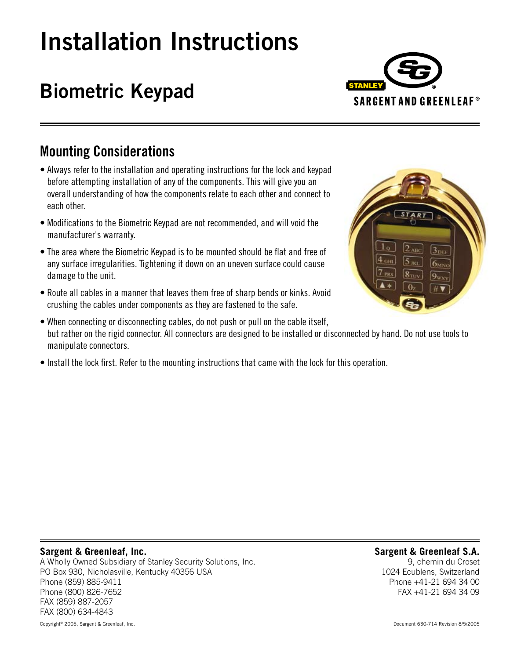# **Installation Instructions**

## **Biometric Keypad**



## **Mounting Considerations**

- Always refer to the installation and operating instructions for the lock and keypad before attempting installation of any of the components. This will give you an overall understanding of how the components relate to each other and connect to each other.
- Modifications to the Biometric Keypad are not recommended, and will void the manufacturer's warranty.
- The area where the Biometric Keypad is to be mounted should be flat and free of any surface irregularities. Tightening it down on an uneven surface could cause damage to the unit.
- Route all cables in a manner that leaves them free of sharp bends or kinks. Avoid crushing the cables under components as they are fastened to the safe.



- When connecting or disconnecting cables, do not push or pull on the cable itself, but rather on the rigid connector. All connectors are designed to be installed or disconnected by hand. Do not use tools to manipulate connectors.
- Install the lock first. Refer to the mounting instructions that came with the lock for this operation.

#### **Sargent & Greenleaf, Inc.**

A Wholly Owned Subsidiary of Stanley Security Solutions, Inc. PO Box 930, Nicholasville, Kentucky 40356 USA Phone (859) 885-9411 Phone (800) 826-7652 FAX (859) 887-2057 FAX (800) 634-4843

#### **Sargent & Greenleaf S.A.**

9, chemin du Croset 1024 Ecublens, Switzerland Phone +41-21 694 34 00 FAX +41-21 694 34 09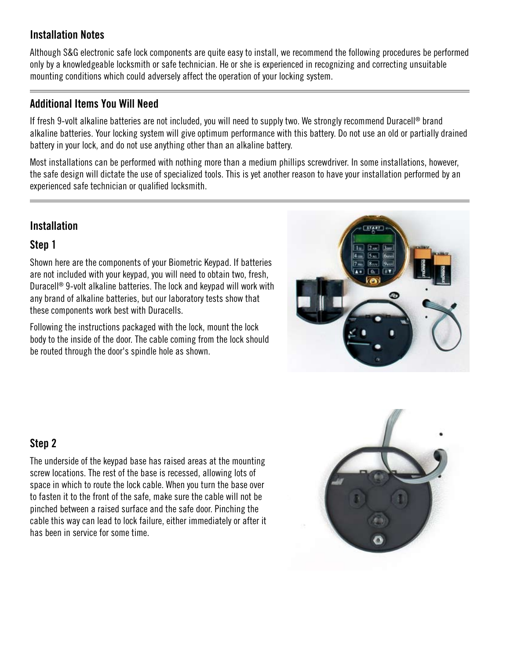#### **Installation Notes**

Although S&G electronic safe lock components are quite easy to install, we recommend the following procedures be performed only by a knowledgeable locksmith or safe technician. He or she is experienced in recognizing and correcting unsuitable mounting conditions which could adversely affect the operation of your locking system.

#### **Additional Items You Will Need**

If fresh 9-volt alkaline batteries are not included, you will need to supply two. We strongly recommend Duracell® brand alkaline batteries. Your locking system will give optimum performance with this battery. Do not use an old or partially drained battery in your lock, and do not use anything other than an alkaline battery.

Most installations can be performed with nothing more than a medium phillips screwdriver. In some installations, however, the safe design will dictate the use of specialized tools. This is yet another reason to have your installation performed by an experienced safe technician or qualified locksmith.

## **Installation**

#### **Step 1**

Shown here are the components of your Biometric Keypad. If batteries are not included with your keypad, you will need to obtain two, fresh, Duracell® 9-volt alkaline batteries. The lock and keypad will work with any brand of alkaline batteries, but our laboratory tests show that these components work best with Duracells.

Following the instructions packaged with the lock, mount the lock body to the inside of the door. The cable coming from the lock should be routed through the door's spindle hole as shown.



## **Step 2**

The underside of the keypad base has raised areas at the mounting screw locations. The rest of the base is recessed, allowing lots of space in which to route the lock cable. When you turn the base over to fasten it to the front of the safe, make sure the cable will not be pinched between a raised surface and the safe door. Pinching the cable this way can lead to lock failure, either immediately or after it has been in service for some time.

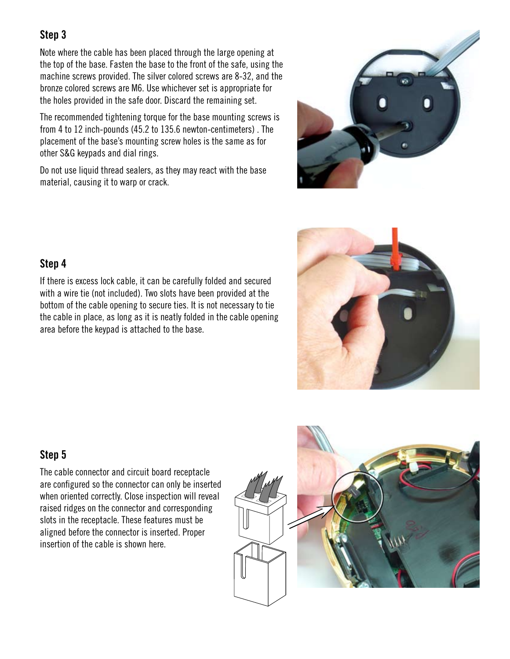Note where the cable has been placed through the large opening at the top of the base. Fasten the base to the front of the safe, using the machine screws provided. The silver colored screws are 8-32, and the bronze colored screws are M6. Use whichever set is appropriate for the holes provided in the safe door. Discard the remaining set.

The recommended tightening torque for the base mounting screws is from 4 to 12 inch-pounds (45.2 to 135.6 newton-centimeters) . The placement of the base's mounting screw holes is the same as for other S&G keypads and dial rings.

Do not use liquid thread sealers, as they may react with the base material, causing it to warp or crack.





#### **Step 4**

If there is excess lock cable, it can be carefully folded and secured with a wire tie (not included). Two slots have been provided at the bottom of the cable opening to secure ties. It is not necessary to tie the cable in place, as long as it is neatly folded in the cable opening area before the keypad is attached to the base.

## **Step 5**

The cable connector and circuit board receptacle are configured so the connector can only be inserted when oriented correctly. Close inspection will reveal raised ridges on the connector and corresponding slots in the receptacle. These features must be aligned before the connector is inserted. Proper insertion of the cable is shown here.

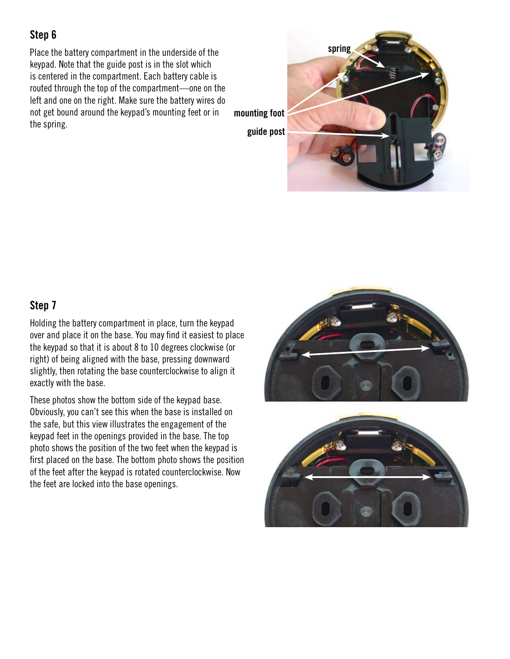Place the battery compartment in the underside of the keypad. Note that the guide post is in the slot which is centered in the compartment. Each battery cable is routed through the top of the compartment—one on the left and one on the right. Make sure the battery wires do not get bound around the keypad's mounting feet or in the spring.



## **Step 7**

Holding the battery compartment in place, turn the keypad over and place it on the base. You may find it easiest to place the keypad so that it is about 8 to 10 degrees clockwise (or right) of being aligned with the base, pressing downward slightly, then rotating the base counterclockwise to align it exactly with the base.

These photos show the bottom side of the keypad base. Obviously, you can't see this when the base is installed on the safe, but this view illustrates the engagement of the keypad feet in the openings provided in the base. The top photo shows the position of the two feet when the keypad is first placed on the base. The bottom photo shows the position of the feet after the keypad is rotated counterclockwise. Now the feet are locked into the base openings.



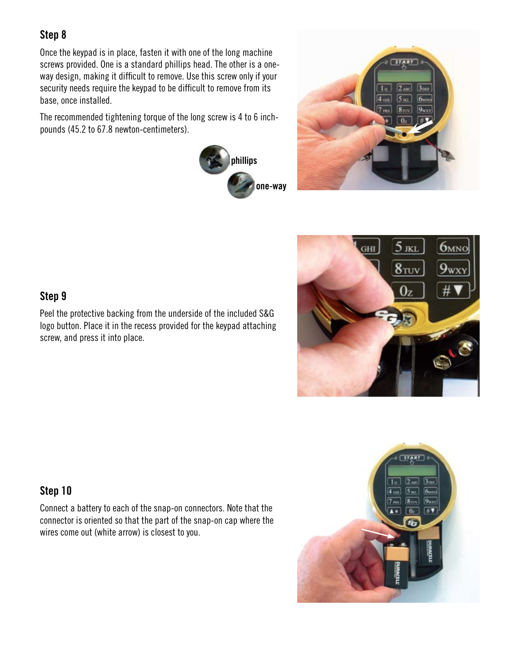Once the keypad is in place, fasten it with one of the long machine screws provided. One is a standard phillips head. The other is a oneway design, making it difficult to remove. Use this screw only if your security needs require the keypad to be difficult to remove from its base, once installed.

The recommended tightening torque of the long screw is 4 to 6 inchpounds (45.2 to 67.8 newton-centimeters).







#### **Step 9**

Peel the protective backing from the underside of the included S&G logo button. Place it in the recess provided for the keypad attaching screw, and press it into place.

#### **Step 10**

Connect a battery to each of the snap-on connectors. Note that the connector is oriented so that the part of the snap-on cap where the wires come out (white arrow) is closest to you.